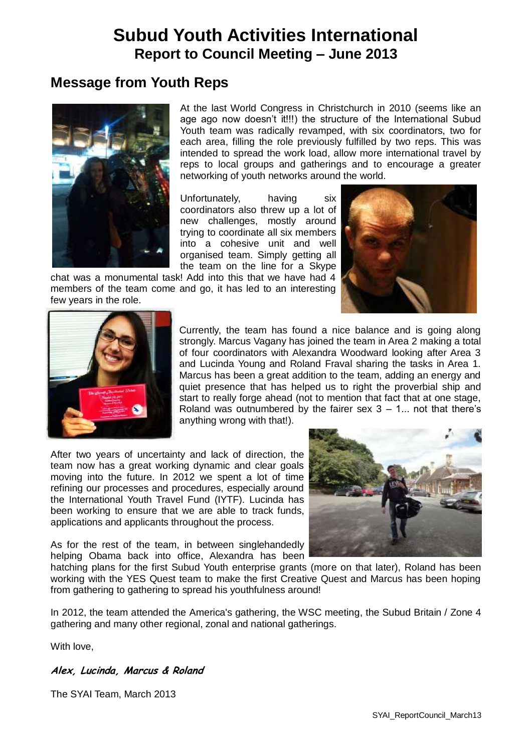# **Subud Youth Activities International Report to Council Meeting – June 2013**

# **Message from Youth Reps**



At the last World Congress in Christchurch in 2010 (seems like an age ago now doesn't it!!!) the structure of the International Subud Youth team was radically revamped, with six coordinators, two for each area, filling the role previously fulfilled by two reps. This was intended to spread the work load, allow more international travel by reps to local groups and gatherings and to encourage a greater networking of youth networks around the world.

Unfortunately, having six coordinators also threw up a lot of new challenges, mostly around trying to coordinate all six members into a cohesive unit and well organised team. Simply getting all the team on the line for a Skype

chat was a monumental task! Add into this that we have had 4 members of the team come and go, it has led to an interesting few years in the role.





Currently, the team has found a nice balance and is going along strongly. Marcus Vagany has joined the team in Area 2 making a total of four coordinators with Alexandra Woodward looking after Area 3 and Lucinda Young and Roland Fraval sharing the tasks in Area 1. Marcus has been a great addition to the team, adding an energy and quiet presence that has helped us to right the proverbial ship and start to really forge ahead (not to mention that fact that at one stage, Roland was outnumbered by the fairer sex  $3 - 1$ ... not that there's anything wrong with that!).

After two years of uncertainty and lack of direction, the team now has a great working dynamic and clear goals moving into the future. In 2012 we spent a lot of time refining our processes and procedures, especially around the International Youth Travel Fund (IYTF). Lucinda has been working to ensure that we are able to track funds, applications and applicants throughout the process.

As for the rest of the team, in between singlehandedly helping Obama back into office, Alexandra has been



hatching plans for the first Subud Youth enterprise grants (more on that later), Roland has been working with the YES Quest team to make the first Creative Quest and Marcus has been hoping from gathering to gathering to spread his youthfulness around!

In 2012, the team attended the America's gathering, the WSC meeting, the Subud Britain / Zone 4 gathering and many other regional, zonal and national gatherings.

With love,

#### **Alex, Lucinda, Marcus & Roland**

The SYAI Team, March 2013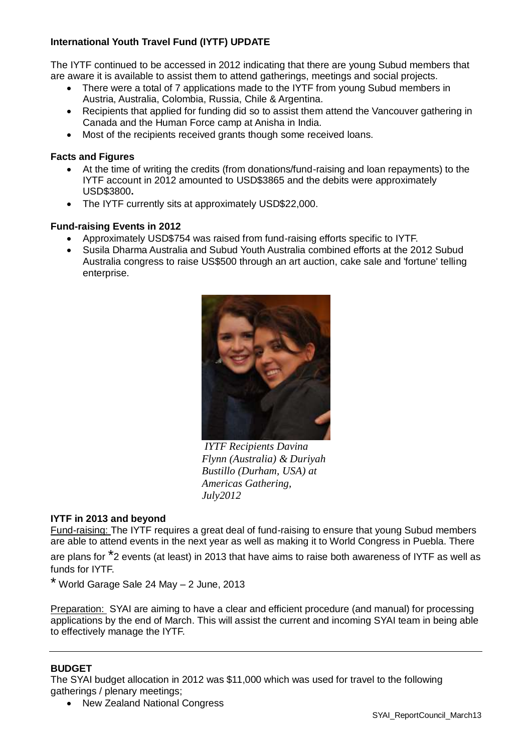#### **International Youth Travel Fund (IYTF) UPDATE**

The IYTF continued to be accessed in 2012 indicating that there are young Subud members that are aware it is available to assist them to attend gatherings, meetings and social projects.

- There were a total of 7 applications made to the IYTF from young Subud members in Austria, Australia, Colombia, Russia, Chile & Argentina.
- Recipients that applied for funding did so to assist them attend the Vancouver gathering in Canada and the Human Force camp at Anisha in India.
- Most of the recipients received grants though some received loans.

#### **Facts and Figures**

- At the time of writing the credits (from donations/fund-raising and loan repayments) to the IYTF account in 2012 amounted to USD\$3865 and the debits were approximately USD\$3800**.**
- The IYTF currently sits at approximately USD\$22,000.

#### **Fund-raising Events in 2012**

- Approximately USD\$754 was raised from fund-raising efforts specific to IYTF.
- Susila Dharma Australia and Subud Youth Australia combined efforts at the 2012 Subud Australia congress to raise US\$500 through an art auction, cake sale and 'fortune' telling enterprise.



*IYTF Recipients Davina Flynn (Australia) & Duriyah Bustillo (Durham, USA) at Americas Gathering, July2012*

#### **IYTF in 2013 and beyond**

Fund-raising: The IYTF requires a great deal of fund-raising to ensure that young Subud members are able to attend events in the next year as well as making it to World Congress in Puebla. There

are plans for \*2 events (at least) in 2013 that have aims to raise both awareness of IYTF as well as funds for IYTF.

\* World Garage Sale 24 May – 2 June, 2013

Preparation: SYAI are aiming to have a clear and efficient procedure (and manual) for processing applications by the end of March. This will assist the current and incoming SYAI team in being able to effectively manage the IYTF.

#### **BUDGET**

The SYAI budget allocation in 2012 was \$11,000 which was used for travel to the following gatherings / plenary meetings;

• New Zealand National Congress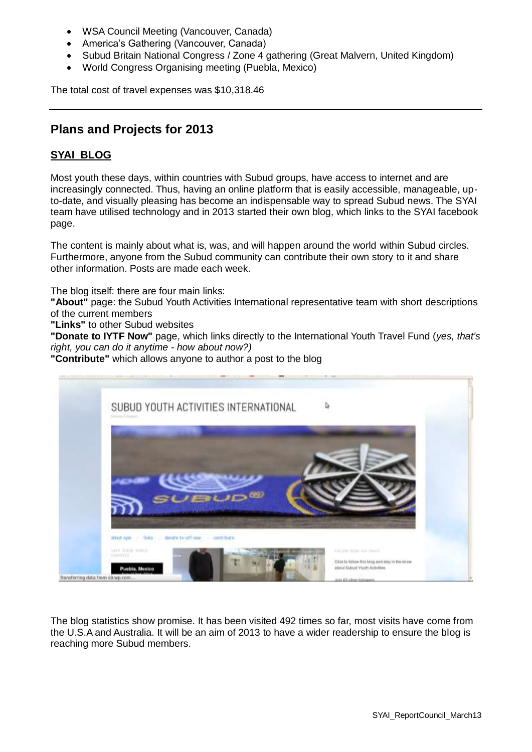- WSA Council Meeting (Vancouver, Canada)
- America's Gathering (Vancouver, Canada)
- Subud Britain National Congress / Zone 4 gathering (Great Malvern, United Kingdom)
- World Congress Organising meeting (Puebla, Mexico)

The total cost of travel expenses was \$10,318.46

## **Plans and Projects for 2013**

#### **SYAI BLOG**

Most youth these days, within countries with Subud groups, have access to internet and are increasingly connected. Thus, having an online platform that is easily accessible, manageable, upto-date, and visually pleasing has become an indispensable way to spread Subud news. The SYAI team have utilised technology and in 2013 started their own blog, which links to the SYAI facebook page.

The content is mainly about what is, was, and will happen around the world within Subud circles. Furthermore, anyone from the Subud community can contribute their own story to it and share other information. Posts are made each week.

The blog itself: there are four main links:

**"About"** page: the Subud Youth Activities International representative team with short descriptions of the current members

**"Links"** to other Subud websites

**"Donate to IYTF Now"** page, which links directly to the International Youth Travel Fund (*yes, that's right, you can do it anytime - how about now?)*

**"Contribute"** which allows anyone to author a post to the blog



The blog statistics show promise. It has been visited 492 times so far, most visits have come from the U.S.A and Australia. It will be an aim of 2013 to have a wider readership to ensure the blog is reaching more Subud members.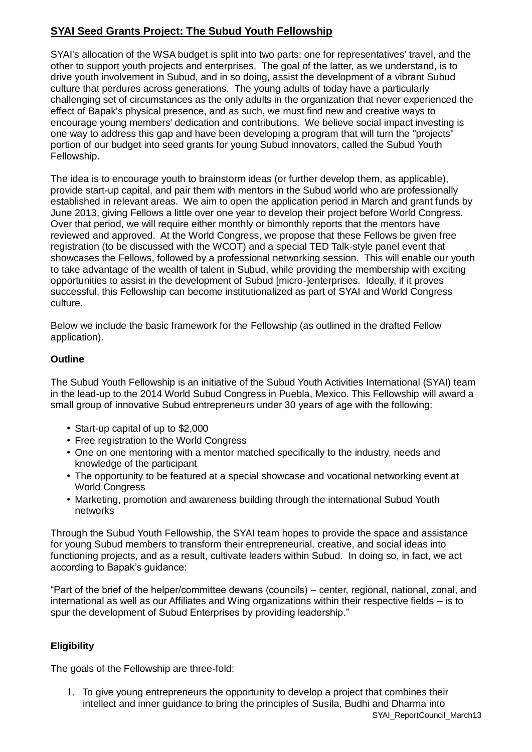### **SYAI Seed Grants Project: The Subud Youth Fellowship**

SYAI's allocation of the WSA budget is split into two parts: one for representatives' travel, and the other to support youth projects and enterprises. The goal of the latter, as we understand, is to drive youth involvement in Subud, and in so doing, assist the development of a vibrant Subud culture that perdures across generations. The young adults of today have a particularly challenging set of circumstances as the only adults in the organization that never experienced the effect of Bapak's physical presence, and as such, we must find new and creative ways to encourage young members' dedication and contributions. We believe social impact investing is one way to address this gap and have been developing a program that will turn the "projects" portion of our budget into seed grants for young Subud innovators, called the Subud Youth Fellowship.

The idea is to encourage youth to brainstorm ideas (or further develop them, as applicable), provide start-up capital, and pair them with mentors in the Subud world who are professionally established in relevant areas. We aim to open the application period in March and grant funds by June 2013, giving Fellows a little over one year to develop their project before World Congress. Over that period, we will require either monthly or bimonthly reports that the mentors have reviewed and approved. At the World Congress, we propose that these Fellows be given free registration (to be discussed with the WCOT) and a special TED Talk-style panel event that showcases the Fellows, followed by a professional networking session. This will enable our youth to take advantage of the wealth of talent in Subud, while providing the membership with exciting opportunities to assist in the development of Subud [micro-]enterprises. Ideally, if it proves successful, this Fellowship can become institutionalized as part of SYAI and World Congress culture.

Below we include the basic framework for the Fellowship (as outlined in the drafted Fellow application).

#### **Outline**

The Subud Youth Fellowship is an initiative of the Subud Youth Activities International (SYAI) team in the lead-up to the 2014 World Subud Congress in Puebla, Mexico. This Fellowship will award a small group of innovative Subud entrepreneurs under 30 years of age with the following:

- Start-up capital of up to \$2,000
- Free registration to the World Congress
- One on one mentoring with a mentor matched specifically to the industry, needs and knowledge of the participant
- The opportunity to be featured at a special showcase and vocational networking event at World Congress
- Marketing, promotion and awareness building through the international Subud Youth networks

Through the Subud Youth Fellowship, the SYAI team hopes to provide the space and assistance for young Subud members to transform their entrepreneurial, creative, and social ideas into functioning projects, and as a result, cultivate leaders within Subud. In doing so, in fact, we act according to Bapak's guidance:

"Part of the brief of the helper/committee dewans (councils) – center, regional, national, zonal, and international as well as our Affiliates and Wing organizations within their respective fields – is to spur the development of Subud Enterprises by providing leadership."

#### **Eligibility**

The goals of the Fellowship are three-fold:

1. To give young entrepreneurs the opportunity to develop a project that combines their intellect and inner guidance to bring the principles of Susila, Budhi and Dharma into